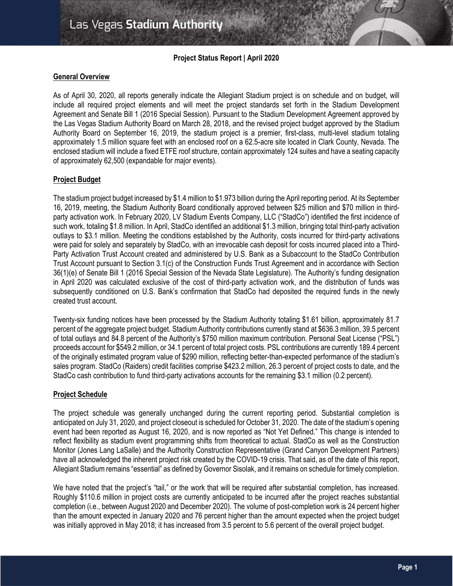# **Project Status Report | April 2020**

# **General Overview**

As of April 30, 2020, all reports generally indicate the Allegiant Stadium project is on schedule and on budget, will include all required project elements and will meet the project standards set forth in the Stadium Development Agreement and Senate Bill 1 (2016 Special Session). Pursuant to the Stadium Development Agreement approved by the Las Vegas Stadium Authority Board on March 28, 2018, and the revised project budget approved by the Stadium Authority Board on September 16, 2019, the stadium project is a premier, first-class, multi-level stadium totaling approximately 1.5 million square feet with an enclosed roof on a 62.5-acre site located in Clark County, Nevada. The enclosed stadium will include a fixed ETFE roof structure, contain approximately 124 suites and have a seating capacity of approximately 62,500 (expandable for major events).

# **Project Budget**

The stadium project budget increased by \$1.4 million to \$1.973 billion during the April reporting period. At its September 16, 2019, meeting, the Stadium Authority Board conditionally approved between \$25 million and \$70 million in thirdparty activation work. In February 2020, LV Stadium Events Company, LLC ("StadCo") identified the first incidence of such work, totaling \$1.8 million. In April, StadCo identified an additional \$1.3 million, bringing total third-party activation outlays to \$3.1 million. Meeting the conditions established by the Authority, costs incurred for third-party activations were paid for solely and separately by StadCo, with an irrevocable cash deposit for costs incurred placed into a Third-Party Activation Trust Account created and administered by U.S. Bank as a Subaccount to the StadCo Contribution Trust Account pursuant to Section 3.1(c) of the Construction Funds Trust Agreement and in accordance with Section 36(1)(e) of Senate Bill 1 (2016 Special Session of the Nevada State Legislature). The Authority's funding designation in April 2020 was calculated exclusive of the cost of third-party activation work, and the distribution of funds was subsequently conditioned on U.S. Bank's confirmation that StadCo had deposited the required funds in the newly created trust account.

Twenty-six funding notices have been processed by the Stadium Authority totaling \$1.61 billion, approximately 81.7 percent of the aggregate project budget. Stadium Authority contributions currently stand at \$636.3 million, 39.5 percent of total outlays and 84.8 percent of the Authority's \$750 million maximum contribution. Personal Seat License ("PSL") proceeds account for \$549.2 million, or 34.1 percent of total project costs. PSL contributions are currently 189.4 percent of the originally estimated program value of \$290 million, reflecting better-than-expected performance of the stadium's sales program. StadCo (Raiders) credit facilities comprise \$423.2 million, 26.3 percent of project costs to date, and the StadCo cash contribution to fund third-party activations accounts for the remaining \$3.1 million (0.2 percent).

## **Project Schedule**

The project schedule was generally unchanged during the current reporting period. Substantial completion is anticipated on July 31, 2020, and project closeout is scheduled for October 31, 2020. The date of the stadium's opening event had been reported as August 16, 2020, and is now reported as "Not Yet Defined." This change is intended to reflect flexibility as stadium event programming shifts from theoretical to actual. StadCo as well as the Construction Monitor (Jones Lang LaSalle) and the Authority Construction Representative (Grand Canyon Development Partners) have all acknowledged the inherent project risk created by the COVID-19 crisis. That said, as of the date of this report, Allegiant Stadium remains "essential" as defined by Governor Sisolak, and it remains on schedule for timely completion.

We have noted that the project's "tail," or the work that will be required after substantial completion, has increased. Roughly \$110.6 million in project costs are currently anticipated to be incurred after the project reaches substantial completion (i.e., between August 2020 and December 2020). The volume of post-completion work is 24 percent higher than the amount expected in January 2020 and 76 percent higher than the amount expected when the project budget was initially approved in May 2018; it has increased from 3.5 percent to 5.6 percent of the overall project budget.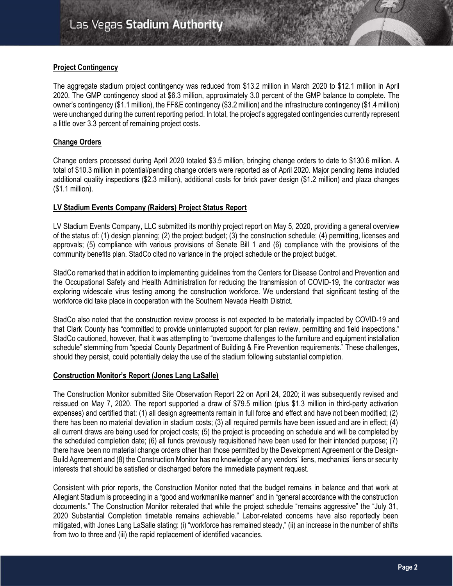# **Project Contingency**

The aggregate stadium project contingency was reduced from \$13.2 million in March 2020 to \$12.1 million in April 2020. The GMP contingency stood at \$6.3 million, approximately 3.0 percent of the GMP balance to complete. The owner's contingency (\$1.1 million), the FF&E contingency (\$3.2 million) and the infrastructure contingency (\$1.4 million) were unchanged during the current reporting period. In total, the project's aggregated contingencies currently represent a little over 3.3 percent of remaining project costs.

# **Change Orders**

Change orders processed during April 2020 totaled \$3.5 million, bringing change orders to date to \$130.6 million. A total of \$10.3 million in potential/pending change orders were reported as of April 2020. Major pending items included additional quality inspections (\$2.3 million), additional costs for brick paver design (\$1.2 million) and plaza changes (\$1.1 million).

# **LV Stadium Events Company (Raiders) Project Status Report**

LV Stadium Events Company, LLC submitted its monthly project report on May 5, 2020, providing a general overview of the status of: (1) design planning; (2) the project budget; (3) the construction schedule; (4) permitting, licenses and approvals; (5) compliance with various provisions of Senate Bill 1 and (6) compliance with the provisions of the community benefits plan. StadCo cited no variance in the project schedule or the project budget.

StadCo remarked that in addition to implementing guidelines from the Centers for Disease Control and Prevention and the Occupational Safety and Health Administration for reducing the transmission of COVID-19, the contractor was exploring widescale virus testing among the construction workforce. We understand that significant testing of the workforce did take place in cooperation with the Southern Nevada Health District.

StadCo also noted that the construction review process is not expected to be materially impacted by COVID-19 and that Clark County has "committed to provide uninterrupted support for plan review, permitting and field inspections." StadCo cautioned, however, that it was attempting to "overcome challenges to the furniture and equipment installation schedule" stemming from "special County Department of Building & Fire Prevention requirements." These challenges, should they persist, could potentially delay the use of the stadium following substantial completion.

## **Construction Monitor's Report (Jones Lang LaSalle)**

The Construction Monitor submitted Site Observation Report 22 on April 24, 2020; it was subsequently revised and reissued on May 7, 2020. The report supported a draw of \$79.5 million (plus \$1.3 million in third-party activation expenses) and certified that: (1) all design agreements remain in full force and effect and have not been modified; (2) there has been no material deviation in stadium costs; (3) all required permits have been issued and are in effect; (4) all current draws are being used for project costs; (5) the project is proceeding on schedule and will be completed by the scheduled completion date; (6) all funds previously requisitioned have been used for their intended purpose; (7) there have been no material change orders other than those permitted by the Development Agreement or the Design-Build Agreement and (8) the Construction Monitor has no knowledge of any vendors' liens, mechanics' liens or security interests that should be satisfied or discharged before the immediate payment request.

Consistent with prior reports, the Construction Monitor noted that the budget remains in balance and that work at Allegiant Stadium is proceeding in a "good and workmanlike manner" and in "general accordance with the construction documents." The Construction Monitor reiterated that while the project schedule "remains aggressive" the "July 31, 2020 Substantial Completion timetable remains achievable." Labor-related concerns have also reportedly been mitigated, with Jones Lang LaSalle stating: (i) "workforce has remained steady," (ii) an increase in the number of shifts from two to three and (iii) the rapid replacement of identified vacancies.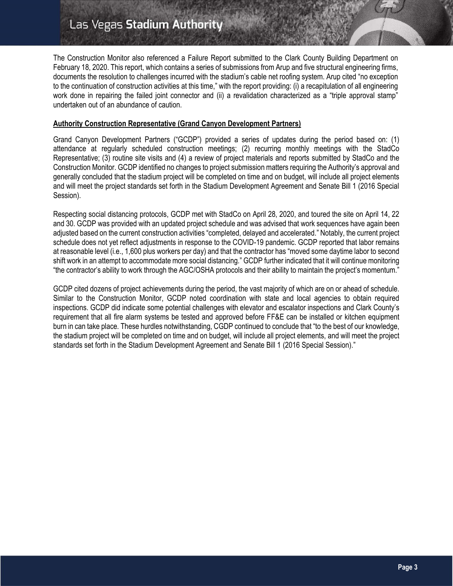# Las Vegas Stadium Authority

The Construction Monitor also referenced a Failure Report submitted to the Clark County Building Department on February 18, 2020. This report, which contains a series of submissions from Arup and five structural engineering firms, documents the resolution to challenges incurred with the stadium's cable net roofing system. Arup cited "no exception to the continuation of construction activities at this time," with the report providing: (i) a recapitulation of all engineering work done in repairing the failed joint connector and (ii) a revalidation characterized as a "triple approval stamp" undertaken out of an abundance of caution.

# **Authority Construction Representative (Grand Canyon Development Partners)**

Grand Canyon Development Partners ("GCDP") provided a series of updates during the period based on: (1) attendance at regularly scheduled construction meetings; (2) recurring monthly meetings with the StadCo Representative; (3) routine site visits and (4) a review of project materials and reports submitted by StadCo and the Construction Monitor. GCDP identified no changes to project submission matters requiring the Authority's approval and generally concluded that the stadium project will be completed on time and on budget, will include all project elements and will meet the project standards set forth in the Stadium Development Agreement and Senate Bill 1 (2016 Special Session).

Respecting social distancing protocols, GCDP met with StadCo on April 28, 2020, and toured the site on April 14, 22 and 30. GCDP was provided with an updated project schedule and was advised that work sequences have again been adjusted based on the current construction activities "completed, delayed and accelerated." Notably, the current project schedule does not yet reflect adjustments in response to the COVID-19 pandemic. GCDP reported that labor remains at reasonable level (i.e., 1,600 plus workers per day) and that the contractor has "moved some daytime labor to second shift work in an attempt to accommodate more social distancing." GCDP further indicated that it will continue monitoring "the contractor's ability to work through the AGC/OSHA protocols and their ability to maintain the project's momentum."

GCDP cited dozens of project achievements during the period, the vast majority of which are on or ahead of schedule. Similar to the Construction Monitor, GCDP noted coordination with state and local agencies to obtain required inspections. GCDP did indicate some potential challenges with elevator and escalator inspections and Clark County's requirement that all fire alarm systems be tested and approved before FF&E can be installed or kitchen equipment burn in can take place. These hurdles notwithstanding, CGDP continued to conclude that "to the best of our knowledge, the stadium project will be completed on time and on budget, will include all project elements, and will meet the project standards set forth in the Stadium Development Agreement and Senate Bill 1 (2016 Special Session)."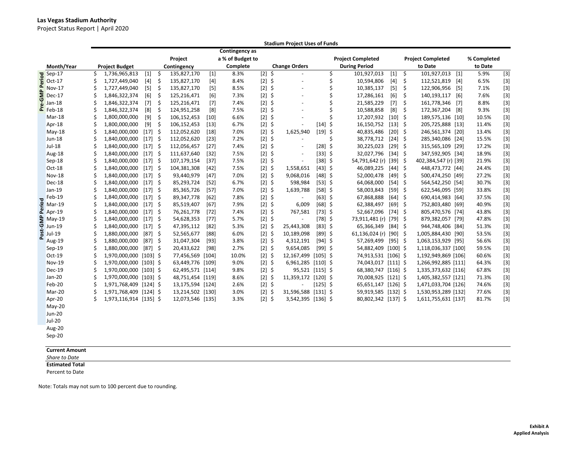Project Status Report | April 2020

|      |                            |    |                        |           |     |                  |        |                       |          | <b>Stadium Project Uses of Funds</b> |            |    |                          |           |         |                          |       |             |       |
|------|----------------------------|----|------------------------|-----------|-----|------------------|--------|-----------------------|----------|--------------------------------------|------------|----|--------------------------|-----------|---------|--------------------------|-------|-------------|-------|
|      |                            |    |                        |           |     |                  |        | <b>Contingency</b> as |          |                                      |            |    |                          |           |         |                          |       |             |       |
|      |                            |    |                        |           |     | Project          |        | a % of Budget to      |          |                                      |            |    | <b>Project Completed</b> |           |         | <b>Project Completed</b> |       | % Completed |       |
|      | Month/Year                 |    | <b>Project Budget</b>  |           |     | Contingency      |        | Complete              |          | <b>Change Orders</b>                 |            |    | <b>During Period</b>     |           |         | to Date                  |       | to Date     |       |
|      | Sep-17<br>Oct-17<br>Nov-17 | Ś  | 1,736,965,813          | $[1]$     | \$  | 135,827,170      | $[1]$  | 8.3%                  | $[2]$ \$ | $\overline{\phantom{a}}$             |            | \$ | 101,927,013              | $[1]$     | \$      | 101,927,013              | $[1]$ | 5.9%        | $[3]$ |
|      |                            | Ś  | 1,727,449,040          | $[4]$     | \$  | 135,827,170      | $[4]$  | 8.4%                  | $[2]$ \$ | ÷,                                   |            | \$ | 10,594,806               | $[4]$     | \$      | 112,521,819              | $[4]$ | 6.5%        | $[3]$ |
|      | Nov-17                     |    | 1,727,449,040          | $[5]$     | \$  | 135,827,170      | $[5]$  | 8.5%                  | $[2]$ \$ | $\overline{\phantom{a}}$             |            | \$ | 10,385,137               | $[5]$     | \$      | 122,906,956              | [5]   | 7.1%        | $[3]$ |
| ŠΕ   | Dec-17                     |    | 1,846,322,374          | [6]       | \$  | 125,216,471      | [6]    | 7.3%                  | $[2]$ \$ |                                      |            | \$ | 17,286,161               | [6]       | \$      | 140,193,117              | [6]   | 7.6%        | $[3]$ |
|      |                            |    | 1,846,322,374          | $[7]$     | \$  | 125,216,471      | $[7]$  | 7.4%                  | $[2]$ \$ | ÷,                                   |            | \$ | 21,585,229               | $[7]$     | $\zeta$ | 161,778,346              | [7]   | 8.8%        | $[3]$ |
|      | $\frac{1}{2}$ Jan-18       |    | 1,846,322,374          | [8]       | \$  | 124,951,258      | [8]    | 7.5%                  | $[2]$ \$ | $\overline{\phantom{a}}$             |            | Ś  | 10,588,858               | [8]       | \$      | 172,367,204              | [8]   | 9.3%        | $[3]$ |
|      | Mar-18                     | Ś  | 1,800,000,000          | [9]       | \$  | 106,152,453      | [10]   | 6.6%                  | $[2]$ \$ | ÷,                                   |            | Ś  | 17,207,932               | $[10]$ \$ |         | 189,575,136 [10]         |       | 10.5%       | $[3]$ |
|      | Apr-18                     |    | 1,800,000,000          | [9]       | \$  | 106,152,453      | $[13]$ | 6.7%                  | $[2]$ \$ |                                      | $[14]$     | \$ | 16,150,752               | $[13]$ \$ |         | 205,725,888 [13]         |       | 11.4%       | $[3]$ |
|      | $May-18$                   |    | 1,840,000,000          | $[17]$ \$ |     | 112,052,620      | $[18]$ | 7.0%                  | $[2]$ \$ | 1,625,940                            | $[19]$ \$  |    | 40,835,486               | $[20]$ \$ |         | 246,561,374 [20]         |       | 13.4%       | $[3]$ |
|      | Jun-18                     |    | 1,840,000,000          | $[17]$    | -\$ | 112,052,620      | $[23]$ | 7.2%                  | $[2]$ \$ |                                      |            | Ś  | 38,778,712               | $[24]$    | -\$     | 285,340,086 [24]         |       | 15.5%       | $[3]$ |
|      | Jul-18                     |    | 1,840,000,000          | $[17]$ \$ |     | 112,056,457      | $[27]$ | 7.4%                  | $[2]$ \$ | $\overline{a}$                       | $[28]$ \$  |    | 30,225,023               | $[29]$ \$ |         | 315,565,109 [29]         |       | 17.2%       | $[3]$ |
|      | Aug-18                     |    | 1,840,000,000          | $[17]$ \$ |     | 111,637,640      | $[32]$ | 7.5%                  | $[2]$ \$ | ÷,                                   | $[33]$ \$  |    | 32,027,796               | $[34]$ \$ |         | 347,592,905 [34]         |       | 18.9%       | $[3]$ |
|      | Sep-18                     |    | 1,840,000,000          | $[17]$ \$ |     | 107,179,154      | $[37]$ | 7.5%                  | $[2]$ \$ |                                      | $[38]$ \$  |    | 54,791,642 (r) [39] \$   |           |         | 402,384,547 (r) [39]     |       | 21.9%       | $[3]$ |
|      | Oct-18                     |    | 1,840,000,000          | $[17]$ \$ |     | 104,381,308      | $[42]$ | 7.5%                  | $[2]$ \$ | 1,558,651                            | $[43]$ \$  |    | 46,089,225               | $[44]$ \$ |         | 448,473,772 [44]         |       | 24.4%       | $[3]$ |
|      | <b>Nov-18</b>              |    | 1,840,000,000          | $[17]$ \$ |     | 93,440,979       | $[47]$ | 7.0%                  | $[2]$ \$ | 9,068,016                            | $[48]$ \$  |    | 52,000,478               | $[49]$ \$ |         | 500,474,250 [49]         |       | 27.2%       | $[3]$ |
|      | Dec-18                     |    | 1,840,000,000          | $[17]$ \$ |     | 85,293,724       | $[52]$ | 6.7%                  | $[2]$ \$ | 598,984                              | $[53]$ \$  |    | 64,068,000               | $[54]$ \$ |         | 564,542,250 [54]         |       | 30.7%       | $[3]$ |
|      | Jan-19                     |    | 1,840,000,000          | $[17]$ \$ |     | 85,365,726       | $[57]$ | 7.0%                  | $[2]$ \$ | 1,639,788                            | $[58]$ \$  |    | 58,003,843               | $[59]$ \$ |         | 622,546,095 [59]         |       | 33.8%       | $[3]$ |
|      | Feb-19                     |    | 1,840,000,000          | $[17]$ \$ |     | 89,347,778       | $[62]$ | 7.8%                  | $[2]$ \$ |                                      | $[63]$ \$  |    | 67,868,888               | $[64]$ \$ |         | 690,414,983 [64]         |       | 37.5%       | $[3]$ |
|      | $\frac{5}{2}$ Mar-19       |    | 1,840,000,000          | $[17]$ \$ |     | 85,519,407       | [67]   | 7.9%                  | $[2]$ \$ | 6,009                                | $[68]$ \$  |    | 62,388,497               | $[69]$ \$ |         | 752,803,480 [69]         |       | 40.9%       | $[3]$ |
|      |                            |    | 1,840,000,000          | $[17]$ \$ |     | 76,261,778       | $[72]$ | 7.4%                  | $[2]$ \$ | 767,581                              | $[73]$ \$  |    | 52,667,096               | $[74]$ \$ |         | 805,470,576 [74]         |       | 43.8%       | $[3]$ |
| -GMP | $May-19$                   | Ś  | 1,840,000,000          | $[17]$ \$ |     | 54,628,353       | $[77]$ | 5.7%                  | $[2]$ \$ | $\overline{\phantom{a}}$             | $[78]$ \$  |    | 73,911,481 (r)           | $[79]$ \$ |         | 879,382,057 [79]         |       | 47.8%       | $[3]$ |
|      | <b>Jun-19</b>              |    | 1,840,000,000          | $[17]$ \$ |     | 47,395,112       | $[82]$ | 5.3%                  | $[2]$ \$ | 25,443,308                           | $[83]$ \$  |    | 65,366,349               | $[84]$ \$ |         | 944,748,406 [84]         |       | 51.3%       | $[3]$ |
| iso. | Jul-19                     |    | 1,880,000,000          | $[87]$ \$ |     | 52,565,677       | $[88]$ | 6.0%                  | $[2]$ \$ | 10,189,098                           | $[89]$ \$  |    | 61,136,024 (r) [90] \$   |           |         | 1,005,884,430 [90]       |       | 53.5%       | $[3]$ |
|      | Aug-19                     |    | 1,880,000,000          | $[87]$ \$ |     | 31,047,304       | $[93]$ | 3.8%                  | $[2]$ \$ | 4,312,191                            | $[94]$ \$  |    | 57,269,499               | $[95]$ \$ |         | 1,063,153,929 [95]       |       | 56.6%       | $[3]$ |
|      | Sep-19                     |    | 1,880,000,000          | $[87]$ \$ |     | 20,433,622       | $[98]$ | 2.7%                  | $[2]$ \$ | 9,654,085                            | $[99]$ \$  |    | 54,882,409 [100] \$      |           |         | 1,118,036,337 [100]      |       | 59.5%       | $[3]$ |
|      | Oct-19                     |    | 1,970,000,000 [103] \$ |           |     | 77,456,569 [104] |        | 10.0%                 | $[2]$ \$ | 12,167,499 [105] \$                  |            |    | 74,913,531 [106] \$      |           |         | 1,192,949,869 [106]      |       | 60.6%       | $[3]$ |
|      | Nov-19                     |    | 1,970,000,000 [103] \$ |           |     | 63,449,776 [109] |        | 9.0%                  | $[2]$ \$ | 6,961,285 [110] \$                   |            |    | 74,043,017 [111] \$      |           |         | 1,266,992,885 [111]      |       | 64.3%       | $[3]$ |
|      | Dec-19                     |    | 1,970,000,000 [103] \$ |           |     | 62,495,571 [114] |        | 9.8%                  | $[2]$ \$ | 95,521 [115] \$                      |            |    | 68,380,747 [116] \$      |           |         | 1,335,373,632 [116]      |       | 67.8%       | $[3]$ |
|      | $Jan-20$                   |    | 1,970,000,000 [103] \$ |           |     | 48,751,454 [119] |        | 8.6%                  | $[2]$    | \$<br>11,359,172 [120] \$            |            |    | 70,008,925 [121] \$      |           |         | 1,405,382,557 [121]      |       | 71.3%       | $[3]$ |
|      | Feb-20                     | Ś. | 1,971,768,409 [124] \$ |           |     | 13,175,594 [124] |        | 2.6%                  | $[2]$ \$ |                                      | $[125]$ \$ |    | 65,651,147 [126] \$      |           |         | 1,471,033,704 [126]      |       | 74.6%       | $[3]$ |
|      | Mar-20                     |    | 1,971,768,409 [124] \$ |           |     | 13,214,502 [130] |        | 3.0%                  | $[2]$ \$ | 31,596,588 [131] \$                  |            |    | 59,919,585 [132] \$      |           |         | 1,530,953,289 [132]      |       | 77.6%       | $[3]$ |
|      | Apr-20                     | Ś  | 1,973,116,914 [135] \$ |           |     | 12,073,546 [135] |        | 3.3%                  | $[2]$ \$ | 3,542,395 [136] \$                   |            |    | 80,802,342 [137] \$      |           |         | 1,611,755,631 [137]      |       | 81.7%       | $[3]$ |
|      | May-20                     |    |                        |           |     |                  |        |                       |          |                                      |            |    |                          |           |         |                          |       |             |       |
|      | <b>Jun-20</b>              |    |                        |           |     |                  |        |                       |          |                                      |            |    |                          |           |         |                          |       |             |       |
|      | <b>Jul-20</b>              |    |                        |           |     |                  |        |                       |          |                                      |            |    |                          |           |         |                          |       |             |       |
|      | Aug-20                     |    |                        |           |     |                  |        |                       |          |                                      |            |    |                          |           |         |                          |       |             |       |
|      | Sep-20                     |    |                        |           |     |                  |        |                       |          |                                      |            |    |                          |           |         |                          |       |             |       |
|      |                            |    |                        |           |     |                  |        |                       |          |                                      |            |    |                          |           |         |                          |       |             |       |

**Current Amount**

*Share to Date* **Estimated Total**

Percent to Date

Note: Totals may not sum to 100 percent due to rounding.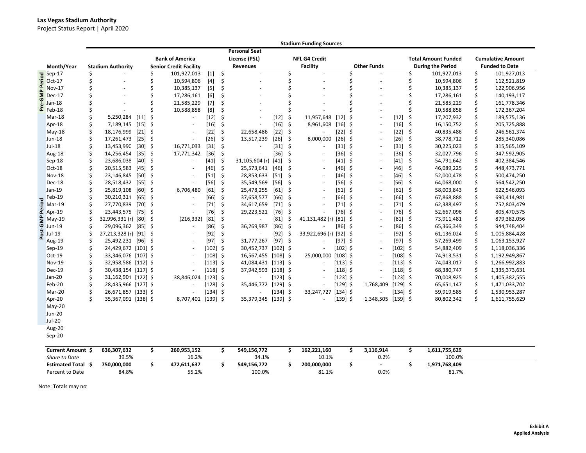## **Las Vegas Stadium Authority**

Project Status Report | April 2020

|       |                                                                                                    |    |                          |           |     |                               |            |                     |                      |            |      | <b>Stadium Funding Sources</b> |            |     |                    |            |         |                            |    |                          |
|-------|----------------------------------------------------------------------------------------------------|----|--------------------------|-----------|-----|-------------------------------|------------|---------------------|----------------------|------------|------|--------------------------------|------------|-----|--------------------|------------|---------|----------------------------|----|--------------------------|
|       |                                                                                                    |    |                          |           |     |                               |            |                     | <b>Personal Seat</b> |            |      |                                |            |     |                    |            |         |                            |    |                          |
|       |                                                                                                    |    |                          |           |     | <b>Bank of America</b>        |            |                     | License (PSL)        |            |      | <b>NFL G4 Credit</b>           |            |     |                    |            |         | <b>Total Amount Funded</b> |    | <b>Cumulative Amount</b> |
|       | Month/Year                                                                                         |    | <b>Stadium Authority</b> |           |     | <b>Senior Credit Facility</b> |            |                     | Revenues             |            |      | <b>Facility</b>                |            |     | <b>Other Funds</b> |            |         | <b>During the Period</b>   |    | <b>Funded to Date</b>    |
|       | <b>PO</b><br><b>D</b><br><b>D</b><br><b>D</b><br><b>D</b><br><b>D</b><br><b>D</b><br><b>NOV-17</b> |    |                          |           | \$  | 101,927,013                   | $[1]$      | \$                  | $\omega$             |            | Ś    |                                |            |     |                    |            | Ś       | 101,927,013                | \$ | 101,927,013              |
|       |                                                                                                    | Ś  | ÷.                       |           | \$  | 10,594,806                    | $[4]$      | \$                  |                      |            | Ś    |                                |            |     |                    |            | Ś       | 10,594,806                 | \$ | 112,521,819              |
| Δ.    | <b>Nov-17</b>                                                                                      | Ś  |                          |           | Ś.  | 10,385,137                    | $[5]$      | Ś                   |                      |            | Ś    |                                |            |     |                    |            | Ś       | 10,385,137                 | \$ | 122,906,956              |
| ξ     | Dec-17                                                                                             |    |                          |           | \$  | 17,286,161                    | [6]        | \$                  |                      |            |      |                                |            |     |                    |            | \$      | 17,286,161                 | \$ | 140,193,117              |
|       | Jan-18                                                                                             |    |                          |           | Ś   | 21,585,229                    | $[7]$      | Ś                   |                      |            |      |                                |            |     |                    |            | Ś       | 21,585,229                 | \$ | 161,778,346              |
|       | $E$ Feb-18                                                                                         | \$ |                          |           | Ś.  | 10,588,858                    | [8]        | \$                  |                      |            | Ś    |                                |            |     |                    |            | \$      | 10,588,858                 | \$ | 172,367,204              |
|       | Mar-18                                                                                             | Ś. | 5,250,284                | $[11]$    | \$  | $\overline{\phantom{a}}$      | $[12]$     | \$                  |                      | $[12]$     | \$   | 11,957,648                     | $[12]$     | \$  | $\sim$             | $[12]$     | \$      | 17,207,932                 | \$ | 189,575,136              |
|       | Apr-18                                                                                             | \$ | 7,189,145                | $[15]$ \$ |     | $\overline{\phantom{a}}$      | $[16]$     | -\$                 |                      | $[16]$     | \$   | 8,961,608                      | $[16]$ \$  |     | $\sim$             | $[16]$ \$  |         | 16,150,752                 | \$ | 205,725,888              |
|       | May-18                                                                                             | Ś  | 18,176,999               | $[21]$    | \$  | $\sim$                        | $[22]$     | \$                  | 22,658,486           | $[22]$     | \$   |                                | $[22]$     | -\$ | $\sim$             | $[22]$     | \$      | 40,835,486                 | \$ | 246,561,374              |
|       | Jun-18                                                                                             | Ś. | 17,261,473               | $[25]$ \$ |     | $\blacksquare$                | $[26]$     | \$                  | 13,517,239           | $[26]$     | \$   | 8,000,000                      | $[26]$ \$  |     | $\sim$             | $[26]$     | \$      | 38,778,712                 | \$ | 285,340,086              |
|       | <b>Jul-18</b>                                                                                      | Ś  | 13,453,990               | $[30]$    | \$  | 16,771,033                    | $[31]$     | - \$                |                      | $[31]$     | \$   |                                | $[31]$ \$  |     | $\sim$             | $[31]$     | \$      | 30,225,023                 | \$ | 315,565,109              |
|       | Aug-18                                                                                             | Ś  | 14,256,454               | $[35]$ \$ |     | 17,771,342                    | $[36]$ \$  |                     |                      | $[36]$     | \$   |                                | $[36]$ \$  |     |                    | $[36]$     | -\$     | 32,027,796                 | \$ | 347,592,905              |
|       | Sep-18                                                                                             |    | 23,686,038               | $[40]$    | \$  | $\overline{\phantom{a}}$      | $[41]$     | \$                  | 31,105,604 (r)       | $[41]$     | \$   |                                | [41]       | -\$ | $\sim$             | $[41]$     | \$      | 54,791,642                 | \$ | 402,384,546              |
|       | $Oct-18$                                                                                           | Ś  | 20,515,583               | $[45]$ \$ |     | $\sim$                        | $[46]$     | \$                  | 25,573,641           | [46]       | \$   |                                | $[46]$ \$  |     | $\sim$             | $[46]$     | \$      | 46,089,225                 | \$ | 448,473,771              |
|       | <b>Nov-18</b>                                                                                      | Ś  | 23,146,845               | $[50]$    | -\$ | $\overline{\phantom{a}}$      | $[51]$     | \$                  | 28,853,633           | $[51]$     | \$   |                                | $[46]$ \$  |     | $\sim$             | $[46]$     | \$      | 52,000,478                 | \$ | 500,474,250              |
|       | Dec-18                                                                                             | Ś. | 28,518,432               | $[55]$ \$ |     | ÷,                            | $[56]$     | $\zeta$             | 35,549,569           | $[56]$     | \$   |                                | $[56]$ \$  |     | $\sim$             | $[56]$     | $\zeta$ | 64,068,000                 | \$ | 564,542,250              |
|       | Jan-19                                                                                             |    | 25,819,108               | [60]      | \$  | 6,706,480                     | $[61]$     | -\$                 | 25,478,255           | $[61]$     | \$   |                                | $[61]$ \$  |     | $\sim$             | $[61]$     | \$      | 58,003,843                 | \$ | 622,546,093              |
|       | Feb-19                                                                                             | Ś  | 30,210,311               | $[65]$ \$ |     | $\sim$                        | [66]       | $\ddot{\mathsf{s}}$ | 37,658,577           | $[66]$     | \$   |                                | $[66]$ \$  |     | $\sim$             | [66]       | \$      | 67,868,888                 | \$ | 690,414,981              |
| ě     | Mar-19                                                                                             |    | 27,770,839 [70] \$       |           |     | $\blacksquare$                | $[71]$     | - \$                | 34,617,659           | $[71]$     | S,   |                                | $[71]$ \$  |     | $\sim$             | $[71]$     | \$      | 62,388,497                 | \$ | 752,803,479              |
|       | $2$ Apr-19                                                                                         | Ś. | 23,443,575 [75] \$       |           |     |                               | $[76]$ \$  |                     | 29,223,521           | $[76]$     | - \$ |                                | $[76]$ \$  |     |                    | $[76]$ \$  |         | 52,667,096                 | \$ | 805,470,575              |
|       | $\frac{a}{9}$ May-19                                                                               |    | 32,996,331 (r) [80] \$   |           |     | (216, 332)                    | $[81]$ \$  |                     |                      | $[81]$     | \$   | 41,131,482 (r)                 | $[81]$ \$  |     |                    | $[81]$ \$  |         | 73,911,481                 | \$ | 879,382,056              |
|       | <b>Jun-19</b>                                                                                      | Ś  | 29,096,362 [85] \$       |           |     | $\blacksquare$                | $[86]$ \$  |                     | 36,269,987           | $[86]$     | -\$  |                                | $[86]$ \$  |     | $\sim$             | [86]       | -\$     | 65,366,349                 | \$ | 944,748,404              |
| Post- | Jul-19                                                                                             |    | 27,213,328 (r) [91] \$   |           |     | $\overline{\phantom{a}}$      | $[92]$ \$  |                     |                      | $[92]$     | -\$  | 33,922,696 (r)                 | $[92]$ \$  |     | $\sim$             | $[92]$ \$  |         | 61,136,024                 | \$ | 1,005,884,428            |
|       | Aug-19                                                                                             | Ś  | 25,492,231 [96] \$       |           |     | $\overline{\phantom{a}}$      | $[97]$ \$  |                     | 31,777,267           | $[97]$ \$  |      |                                | $[97]$ \$  |     | $\sim$             | $[97]$ \$  |         | 57,269,499                 | Ś. | 1,063,153,927            |
|       | $Sep-19$                                                                                           | \$ | 24,429,672 [101] \$      |           |     | $\overline{\phantom{a}}$      | $[102]$ \$ |                     | 30,452,737           | $[102]$ \$ |      |                                | $[102]$ \$ |     | $\sim$             | $[102]$ \$ |         | 54,882,409                 | \$ | 1,118,036,336            |
|       | Oct-19                                                                                             | Ś  | 33,346,076 [107] \$      |           |     | $\overline{\phantom{a}}$      | $[108]$ \$ |                     | 16,567,455 [108] \$  |            |      | 25,000,000                     | $[108]$ \$ |     | $\sim$             | $[108]$ \$ |         | 74,913,531                 | \$ | 1,192,949,867            |
|       | Nov-19                                                                                             |    | 32,958,586 [112] \$      |           |     | $\overline{\phantom{a}}$      | $[113]$ \$ |                     | 41,084,431 [113] \$  |            |      |                                | $[113]$ \$ |     | $\sim$             | $[113]$ \$ |         | 74,043,017                 | \$ | 1,266,992,883            |
|       | <b>Dec-19</b>                                                                                      | Ś. | 30,438,154 [117] \$      |           |     |                               | $[118]$ \$ |                     | 37,942,593 [118] \$  |            |      |                                | $[118]$ \$ |     |                    | $[118]$ \$ |         | 68,380,747                 | \$ | 1,335,373,631            |
|       | Jan-20                                                                                             | \$ | 31,162,901 [122] \$      |           |     | 38,846,024                    | $[123]$ \$ |                     |                      | $[123]$ \$ |      |                                | $[123]$ \$ |     |                    | $[123]$ \$ |         | 70,008,925                 | \$ | 1,405,382,555            |
|       | Feb-20                                                                                             | Ś  | 28,435,966 [127] \$      |           |     | $\sim$                        | $[128]$ \$ |                     | 35,446,772           | $[129]$ \$ |      |                                | $[129]$ \$ |     | 1,768,409          | $[129]$ \$ |         | 65,651,147                 | \$ | 1,471,033,702            |
|       | Mar-20                                                                                             | Ś. | 26,671,857 [133] \$      |           |     | $\overline{\phantom{a}}$      | $[134]$ \$ |                     |                      | $[134]$ \$ |      | 33,247,727                     | $[134]$ \$ |     |                    | $[134]$ \$ |         | 59,919,585                 | \$ | 1,530,953,287            |
|       | Apr-20                                                                                             | Ś. | 35,367,091 [138] \$      |           |     | 8,707,401 [139] \$            |            |                     | 35,379,345 [139] \$  |            |      |                                | $[139]$ \$ |     | 1,348,505 [139] \$ |            |         | 80,802,342                 | \$ | 1,611,755,629            |
|       | May-20                                                                                             |    |                          |           |     |                               |            |                     |                      |            |      |                                |            |     |                    |            |         |                            |    |                          |
|       | <b>Jun-20</b>                                                                                      |    |                          |           |     |                               |            |                     |                      |            |      |                                |            |     |                    |            |         |                            |    |                          |
|       | <b>Jul-20</b>                                                                                      |    |                          |           |     |                               |            |                     |                      |            |      |                                |            |     |                    |            |         |                            |    |                          |
|       | Aug-20                                                                                             |    |                          |           |     |                               |            |                     |                      |            |      |                                |            |     |                    |            |         |                            |    |                          |
|       | Sep-20                                                                                             |    |                          |           |     |                               |            |                     |                      |            |      |                                |            |     |                    |            |         |                            |    |                          |
|       | Current Amount S                                                                                   |    | 636 307 632              |           | \$  | 260 953 152                   |            | Ś.                  | 549 156 772          |            | ς.   | 162 221 160                    |            | \$. | 3 116 914          |            | \$      | 1611755629                 |    |                          |

| <b>Current Amount</b>  | 636,307,632 | 260,953,152 | 549,156,772 | 162.221.160 | 3,116,914 | 1,611,755,629 |
|------------------------|-------------|-------------|-------------|-------------|-----------|---------------|
| Share to Date          | 39.5%       | 16.2%       | 34.1%       | 10.1%       | 0.2%      | 100.0%        |
| <b>Estimated Total</b> | 750.000.000 | 472,611,637 | 549.156.772 | 200.000.000 |           | 1.971.768.409 |
| Percent to Date        | 84.8%       | 55.2%       | 100.0%      | 81.1%       | 0.0%      | 81.7%         |

Note: Totals may no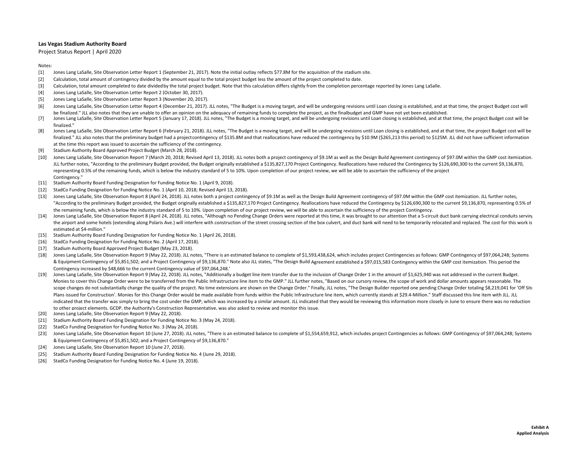Project Status Report | April 2020

#### Notes:

- [1] Jones Lang LaSalle, Site Observation Letter Report <sup>1</sup> (September 21, 2017). Note the initial outlay reflects \$77.8M for the acquisition of the stadium site.
- [2] Calculation, total amount of contingency divided by the amount equal to the total project budget less the amount of the project completed to date.
- [3] Calculation, total amount completed to date dividedby the total project budget. Note that this calculation differs slightly from the completion percentage reported by Jones Lang LaSalle.
- [4] Jones Lang LaSalle, Site Observation Letter Report 2 (October 30, 2017).
- [5] Jones Lang LaSalle, Site Observation Letter Report 3 (November 20, 2017).
- [6] Jones Lang LaSalle, Site Observation Letter Report 4 (December 21, 2017). JLL notes, "The Budget is a moving target, and will be undergoing revisions until Loan closing is established, and at that time, the project Budget be finalized." JLL also notes that they are unable to offer an opinion on the adequacy of remaining funds to complete the project, as the finalbudget and GMP have not yet been established.
- [7] Jones Lang LaSalle, Site Observation Letter Report 5 (January 17, 2018). JLL notes, "The Budget is a moving target, and will be undergoing revisions until Loan closing is established, and at that time, the project Budget c finalized."
- [8] Jones Lang LaSalle, Site Observation Letter Report 6 (February 21, 2018). JLL notes, "The Budget is a moving target, and will be undergoing revisions until Loan closing is established, and at that time, the project Budget finalized." JLL also notes that the preliminary budget had a project contingency of \$135.8M and that reallocations have reduced the contingency by \$10.9M (\$265,213 this period) to \$125M. JLL did not have sufficient informa at the time this report was issued to ascertain the sufficiency of the contingency.
- [9] Stadium Authority Board Approved Project Budget (March 28, 2018).
- [10] Jones Lang LaSalle, Site Observation Report 7 (March 20, 2018; Revised April 13, 2018). JLL notes both a project contingency of \$9.1M as well as the Design Build Agreement contingency of \$97.0M within the GMP cost ite JLL further notes, "According to the preliminary Budget provided, the Budget originally established <sup>a</sup> \$135,827,170 Project Contingency. Reallocations have reduced the Contingency by \$126,690,300 to the current \$9,136,870, representing 0.5% of the remaining funds, which is below the industry standard of 5 to 10%. Upon completion of our project review, we will be able to ascertain the sufficiency of the project Contingency<sup>"</sup>
- [11] Stadium Authority Board Funding Designation for Funding Notice No. 1 (April 9, 2018).
- [12] StadCo Funding Designation for Funding Notice No. 1 (April 10, 2018; Revised April 13, 2018).
- [13] Jones Lang LaSalle, Site Observation Report 8 (April 24, 2018). JLL notes both a project contingency of \$9.1M as well as the Design Build Agreement contingency of \$97.0M within the GMP cost itemization. JLL further no "According to the preliminary Budget provided, the Budget originally established <sup>a</sup> \$135,827,170 Project Contingency. Reallocations have reduced the Contingency by \$126,690,300 to the current \$9,136,870, representing 0.5% of the remaining funds, which is below the industry standard of 5 to 10%. Upon completion of our project review, we will be able to ascertain the sufficiency of the project Contingency.
- [14] Jones Lang LaSalle, Site Observation Report 8 (April 24, 2018). JLL notes, "Although no Pending Change Orders were reported at this time, it was brought to our attention that a 5-circuit duct bank carrying electrical the airport and some hotels (extending along Polaris Ave.) will interfere with construction of the street crossing section of the box culvert, and duct bank will need to be temporarily relocated and replaced. The cost for estimated at \$4‐million."
- [15] Stadium Authority Board Funding Designation for Funding Notice No. 1 (April 26, 2018).
- [16] StadCo Funding Designation for Funding Notice No. 2 (April 17, 2018).
- [17] Stadium Authority Board Approved Project Budget (May 23, 2018).
- [18] Jones Lang LaSalle, Site Observation Report 9 (May 22, 2018). JLL notes, "There is an estimated balance to complete of \$1,593,438,624, which includes project Contingencies as follows: GMP Contingency of \$97,064,248; S & Equipment Contingency of \$5,851,502; and <sup>a</sup> Project Contingency of \$9,136,870." Note also JLL states, "The Design Build Agreement established <sup>a</sup> \$97,015,583 Contingency within the GMP cost itemization. This period the Contingency increased by \$48,666 to the current Contingency value of \$97,064,248."
- [19] Jones Lang LaSalle, Site Observation Report 9 (May 22, 2018). JLL notes, "Additionally a budget line item transfer due to the inclusion of Change Order 1 in the amount of \$1,625,940 was not addressed in the current Bu Monies to cover this Change Order were to be transferred from the Public Infrastructure line item to the GMP." JLL further notes, "Based on our cursory review, the scope of work and dollar amounts appears reasonable. The scope changes do not substantially change the quality of the project. No time extensions are shown on the Change Order." Finally, JLL notes, "The Design Builder reported one pending Change Order totaling \$8,219,041 for 'Of Plans issued for Construction'. Monies for this Change Order would be made available from funds within the Public Infrastructure line item, which currently stands at \$29.4-Million." Staff discussed this line item with JLL. indicated that the transfer was simply to bring the cost under the GMP, which was increased by a similar amount. JLL indicated that they would be reviewing this information more closely in June to ensure there was no reduc to other project elements. GCDP, the Authority's Construction Representative, was also asked to review and monitor this issue.
- [20] Jones Lang LaSalle, Site Observation Report 9 (May 22, 2018).
- [21] Stadium Authority Board Funding Designation for Funding Notice No. 3 (May 24, 2018).
- [22] StadCo Funding Designation for Funding Notice No. 3 (May 24, 2018).
- [23] Jones Lang LaSalle, Site Observation Report 10 (June 27, 2018). JLL notes, "There is an estimated balance to complete of \$1,554,659,912, which includes project Contingencies as follows: GMP Contingency of \$97,064,248; & Equipment Contingency of \$5,851,502; and <sup>a</sup> Project Contingency of \$9,136,870."
- [24] Jones Lang LaSalle, Site Observation Report 10 (June 27, 2018).
- [25] Stadium Authority Board Funding Designation for Funding Notice No. 4 (June 29, 2018).
- [26] StadCo Funding Designation for Funding Notice No. 4 (June 19, 2018).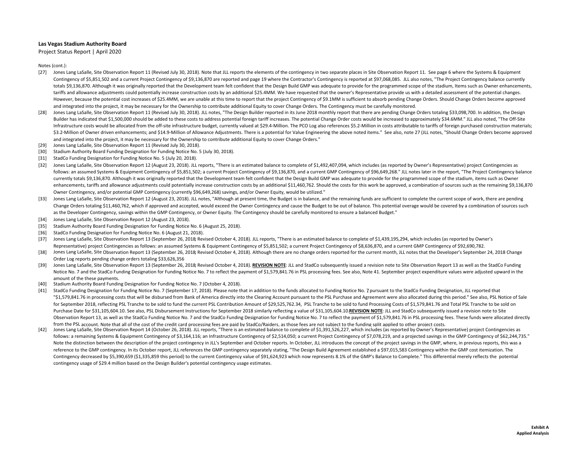Project Status Report | April 2020

- [27] Jones Lang LaSalle, Site Observation Report 11 (Revised July 30, 2018). Note that JLL reports the elements of the contingency in two separate places in Site Observation Report 11. See page 6 where the Systems & Equipm Contingency of \$5,851,502 and <sup>a</sup> current Project Contingency of \$9,136,870 are reported and page 19 where the Contractor's Contingency is reported at \$97,068,085. JLL also notes, "The Project Contingency balance currently totals \$9,136,870. Although it was originally reported that the Development team felt confident that the Design Build GMP was adequate to provide for the programmed scope of the stadium, Items such as Owner enhancements, tariffs and allowance adjustments could potentially increase construction costs by an additional \$25.4MM. We have requested that the owner's Representative provide us with <sup>a</sup> detailed assessment of the potential changes. However, because the potential cost increases of \$25.4MM, we are unable at this time to report that the project Contingency of \$9.1MM is sufficient to absorb pending Change Orders. Should Change Orders become approved and integrated into the project, it may be necessary for the Ownership to contribute additional Equity to cover Change Orders. The Contingency must be carefully monitored.
- [28] Jones Lang LaSalle, Site Observation Report 11 (Revised July 30, 2018). JLL notes, "The Design Builder reported in its June 2018 monthly report that there are pending Change Orders totaling \$33,098,700. In addition, t Builder has indicated that \$1,500,000 should be added to these costs to address potential foreign tariff increases. The potential Change Order costs would be increased to approximately \$34.6MM." JLL also noted, "The Off‐Si Infrastructure costs would be allocated from the off-site infrastructure budget, currently valued at \$29.4-Million. The PCO Log also references \$5.2-Million in costs attributable to tariffs of foreign purchased constructio \$3.2-Million of Owner driven enhancements; and \$14.9-Million of Allowance Adjustments. There is a potential for Value Engineering the above noted items." See also, note 27 (JLL notes, "Should Change Orders become approved and integrated into the project, it may be necessary for the Ownership to contribute additional Equity to cover Change Orders."
- [29] Jones Lang LaSalle, Site Observation Report 11 (Revised July 30, 2018).
- [30] Stadium Authority Board Funding Designation for Funding Notice No. 5 (July 30, 2018).
- [31] StadCo Funding Designation for Funding Notice No. 5 (July 20, 2018).
- [32] Jones Lang LaSalle, Site Observation Report 12 (August 23, 2018). JLL reports, "There is an estimated balance to complete of \$1,492,407,094, which includes (as reported by Owner's Representative) project Contingencies follows: an assumed Systems & Equipment Contingency of \$5,851,502; a current Project Contingency of \$9,136,870, and a current GMP Contingency of \$96,649,268." JLL notes later in the report, "The Project Contingency balance currently totals \$9,136,870. Although it was originally reported that the Development team felt confident that the Design Build GMP was adequate to provide for the programmed scope of the stadium, items such as Owner enhancements, tariffs and allowance adjustments could potentially increase construction costs by an additional \$11.460.762. Should the costs for this work be approved, a combination of sources such as the remaining \$9.136. Owner Contingency, and/or potential GMP Contingency (currently \$96,649,268) savings, and/or Owner Equity, would be utilized."
- [33] Jones Lang LaSalle, Site Observation Report 12 (August 23, 2018). JLL notes, "Although at present time, the Budget is in balance, and the remaining funds are sufficient to complete the current scope of work, there are pend Change Orders totaling \$11,460,762, which if approved and accepted, would exceed the Owner Contingency and cause the Budget to be out of balance. This potential overage would be covered by a combination of sources such as the Developer Contingency, savings within the GMP Contingency, or Owner Equity. The Contingency should be carefully monitored to ensure <sup>a</sup> balanced Budget."
- [34] Jones Lang LaSalle, Site Observation Report 12 (August 23, 2018).
- [35] Stadium Authority Board Funding Designation for Funding Notice No. 6 (August 25, 2018).
- [36] StadCo Funding Designation for Funding Notice No. 6 (August 21, 2018).
- [37] Jones Lang LaSalle, Site Observation Report 13 (September 26, 2018; Revised October 4, 2018). JLL reports, "There is an estimated balance to complete of \$1,439,195,294, which includes (as reported by Owner's Representative) project Contingencies as follows: an assumed Systems & Equipment Contingency of \$5,851,502; a current Project Contingency of \$8,636,870, and a current GMP Contingency of \$92,690,782.
- [38] Jones Lang LaSalle, Site Observation Report 13 (September 26, 2018; Revised October 4, 2018). Although there are no change orders reported for the current month, JLL notes that the Developer's September 24, 2018 Change Order Log reports pending change orders totaling \$33,626,356
- [39] Jones Lang LaSalle, Site Observation Report 13 (September 26, 2018; Revised October 4, 2018). <u>REVISION NOTE</u>: JLL and StadCo subsequently issued a revision note to Site Observation Report 13 as well as the StadCo Funding Notice No. 7 and the StadCo Funding Designation for Funding Notice No. 7 to reflect the payment of \$1,579,841.76 in PSL processing fees. See also, Note 41. September project expenditure values were adjusted upward in the amount of the these payments.
- [40] Stadium Authority Board Funding Designation for Funding Notice No. 7 (October 4, 2018).
- [41] StadCo Funding Designation for Funding Notice No. 7 (September 17, 2018). Please note that in addition to the funds allocated to Funding Notice No. 7 pursuant to the StadCo Funding Designation, JLL reported that "\$1.579.841.76 in processing costs that will be disbursed from Bank of America directly into the Clearing Account pursuant to the PSL Purchase and Agreement were also allocated during this period." See also, PSL Notice of for September 2018, reflecting PSL Tranche to be sold to fund the current PSL Contribution Amount of \$29,525,762.34, PSL Tranche to be sold to fund Processing Costs of \$1,579,841.76 and Total PSL Tranche to be sold on Purchase Date for \$31,105,604.10. See also, PSL Disbursement Instructions for September 2018 similarly reflecting a value of \$31,105,604.10.REVISION NOTE: JLL and StadCo subsequently issued a revision note to Site Observation Report 13, as well as the StadCo Funding Notice No. 7 and the StadCo Funding Designation for Funding Notice No. 7 to reflect the payment of \$1,579,841.76 in PSL processing fees. These funds were allocated direc from the PSL account. Note that all of the cost of the credit card processing fees are paid by StadCo/Raiders. as those fees are not subiect to the funding split applied to other proiect costs.
- $[42]$ Jones Lang LaSalle, Site Observation Report 14 (October 26, 2018). JLL reports, "There is an estimated balance to complete of \$1,391,526,227, which includes (as reported by Owner's Representative) project Contingencies as follows: a remaining Systems & Equipment Contingency of \$3,164,116; an Infrastructure Contingency of \$2,514,050; <sup>a</sup> current Project Contingency of \$7,078,219, and <sup>a</sup> projected savings in the GMP Contingency of \$62,244,735." Note the distinction between the description of the project contingency in JLL's September and October reports. In October, JLL introduces the concept of the project savings in the GMP, where, in previous reports, this was reference to the GMP contingency. In its October report, JLL references the GMP contingency separately stating, "The Design Build Agreement established a \$97,015,583 Contingency within the GMP cost itemization. The Contingency decreased by \$5,390,659 (\$1,335,859 this period) to the current Contingency value of \$91,624,923 which now represents 8.1% of the GMP's Balance to Complete." This differential merely reflects the potential contingency usage of \$29.4 million based on the Design Builder's potential contingency usage estimates.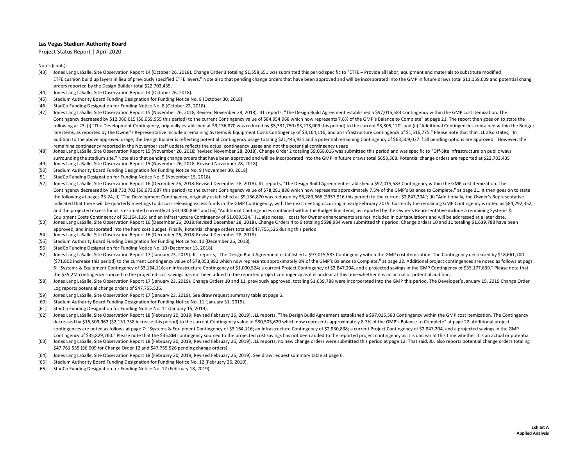Project Status Report | April 2020

- [43] Jones Lang LaSalle, Site Observation Report <sup>14</sup> (October 26, 2018). Change Order 3 totaling \$1,558,651 was submitted this period specific to "ETFE Provide all labor, equipment and materials to substitute modified ETFE cushion build up layers in lieu of previously specified ETFE layers." Note also that pending change orders that have been approved and will be incorporated into the GMP in future draws total \$11,159,609 and potential orders reported by the Design Builder total \$22,703,435.
- [44] Jones Lang LaSalle, Site Observation Report 14 (October 26, 2018).
- [45] Stadium Authority Board Funding Designation for Funding Notice No. 8 (October 30, 2018).
- [46] StadCo Funding Designation for Funding Notice No. 8 (October 22, 2018).
- [47] Jones Lang LaSalle, Site Observation Report <sup>15</sup> (November 26, 2018; Revised November 28, 2018). JLL reports, "The Design Build Agreement established <sup>a</sup> \$97,015,583 Contingency within the GMP cost itemization. The Contingency decreased by \$12,060,615 (\$6,669,955 this period) to the current Contingency value of \$84,954,968 which now represents 7.6% of the GMP's Balance to Complete" at page 21. The report then goes on to state the following at 23, (i) "The Development Contingency, originally established at \$9,136,870 was reduced by \$5,331,750 (\$3,273,009 this period) to the current \$3,805,120" and (ii) "Additional Contingencies contained within the line items, as reported by the Owner's Representative include a remaining Systems & Equipment Costs Contingency of \$3,164,116; and an Infrastructure Contingency of \$1,516,775." Please note that that JLL also states, "In addition to the above approved usage, the Design Builder is reflecting potential Contingency usage totaling \$21,445,931 and a potential remaining Contingency of \$63,509,037 if all pending options are approved." However, th remaining contingency reported in the November staff update reflects the actual contingency usage and not the potential contingency usage
- [48] Jones Lang LaSalle, Site Observation Report 15 (November 26, 2018; Revised November 28, 2018). Change Order 2 totaling \$9,068,016 was submitted this period and was specific to "Off-Site infrastructure on public ways surrounding the stadium site." Note also that pending change orders that have been approved and will be incorporated into the GMP in future draws total \$653,368. Potential change orders are reported at \$22,703,435
- [49] Jones Lang LaSalle, Site Observation Report 15 (November 26, 2018, Revised November 28, 2018).
- [50] Stadium Authority Board Funding Designation for Funding Notice No. 9 (November 30, 2018).
- [51] StadCo Funding Designation for Funding Notice No. 9 (November 15, 2018).
- [52] Jones Lang LaSalle, Site Observation Report 16 (December 26, 2018; Revised December 28, 2018). JLL reports, "The Design Build Agreement established a \$97,015,583 Contingency within the GMP cost itemization. The Contingency decreased by \$18,733,702 (\$6,673,087 this period) to the current Contingency value of \$78,281,880 which now represents approximately 7.5% of the GMP's Balance to Complete." at page 21. It then goes on to state the following at pages 23‐24, (i) "The Development Contingency, originally established at \$9,136,870 was reduced by \$6,289,666 (\$957,916 this period) to the current \$2,847,204"; (ii) "Additionally, the Owner's Representative indicated that there will be quarterly meetings to discuss releasing excess funds in the GMP Contingency, with the next meeting occurring in early February 2019. Currently the remaining GMP Contingency is noted as \$84,292, and the projected excess funds is estimated currently at \$33,380,866" and (iii) "Additional Contingencies contained within the Budget line items, as reported by the Owner's Representative include a remaining Systems &
- [53] Equipment Costs Contingency of \$3,164,116; and an Infrastructure Contingency of \$1,000,524." JLL also notes, " costs for Owner enhancements are not included in our tabulations and will be addressed at a later date. Jones Lang LaSalle, Site Observation Report 16 (December 26, 2018; Revised December 28, 2018). Change Orders <sup>4</sup> to 9 totaling \$598,984 were submitted this period. Change orders 10 and <sup>11</sup> totaling \$1,639,788 have been approved, and incorporated into the hard cost budget. Finally, Potential change orders totaled \$47,755,526 during this period
- [54] Jones Lang LaSalle, Site Observation Report 16 (December 26, 2018; Revised December 28, 2018).
- [55] Stadium Authority Board Funding Designation for Funding Notice No. 10 (December 26, 2018).
- [56] StadCo Funding Designation for Funding Notice No. 10 (December 15, 2018).
- [57] Jones Lang LaSalle, Site Observation Report <sup>17</sup> (January 23, 2019). JLL reports, "The Design Build Agreement established <sup>a</sup> \$97,015,583 Contingency within the GMP cost itemization. The Contingency decreased by \$18,661,700 (\$71,002 increase this period) to the current Contingency value of \$78,353,882 which now represents approximately 8% of the GMP's Balance to Complete." at page 22. Additional project contingences are noted as follows at page 6: "Systems & Equipment Contingency of \$3,164,116; an Infrastructure Contingency of \$1,000,524; a current Project Contingency of \$2,847,204, and a projected savings in the GMP Contingency of \$35,177,639." Please note that the \$35.2M contingency sourced to the projected cost savings has not been added to the reported project contingency as it is unclear at this time whether it is an actual or potential addition.
- [58] Jones Lang LaSalle, Site Observation Report 17 (January 23, 2019). Change Orders 10 and 11, previously approved, totaling \$1,639,788 were incorporated into the GMP this period. The Developer's January 15, 2019 Change Log reports potential change orders of \$47,755,526.
- [59] Jones Lang LaSalle, Site Observation Report 17 (January 23, 2019). See draw request summary table at page 6.
- [60] Stadium Authority Board Funding Designation for Funding Notice No. 11 (January 31, 2019).
- [61] StadCo Funding Designation for Funding Notice No. 11 (January 15, 2019).
- [62] Jones Lang LaSalle, Site Observation Report 18 (February 20, 2019; Revised February 26, 2019). JLL reports, "The Design Build Agreement established a \$97,015,583 Contingency within the GMP cost itemization. The Contin decreased by \$16,509,962 (\$2,151,738 increase this period) to the current Contingency value of \$80,505,620 which now represents approximately 8.7% of the GMP's Balance to Complete" at page 22. Additional project contingences are noted as follows at page 7: "Systems & Equipment Contingency of \$3,164,116; an Infrastructure Contingency of \$2,830,838; a current Project Contingency of \$2,847,204, and a projected savings in the GMP Contingency of \$35,829,760." Please note that the \$35.8M contingency sourced to the projected cost savings has not been added to the reported project contingency as it is unclear at this time whether it is an actual or pot
- [63] Jones Lang LaSalle, Site Observation Report 18 (February 20, 2019; Revised February 26, 2019). JLL reports, no new change orders were submitted this period at page 12. That said, JLL also reports potential change orde \$47,761,535 (\$6,009 for Change Order <sup>12</sup> and \$47,755,526 pending change orders).
- [64] Jones Lang LaSalle, Site Observation Report 18 (February 20, 2019; Revised February 26, 2019). See draw request summary table at page 6.
- [65] Stadium Authority Board Funding Designation for Funding Notice No. 12 (February 26, 2019).
- [66] StadCo Funding Designation for Funding Notice No. 12 (February 18, 2019).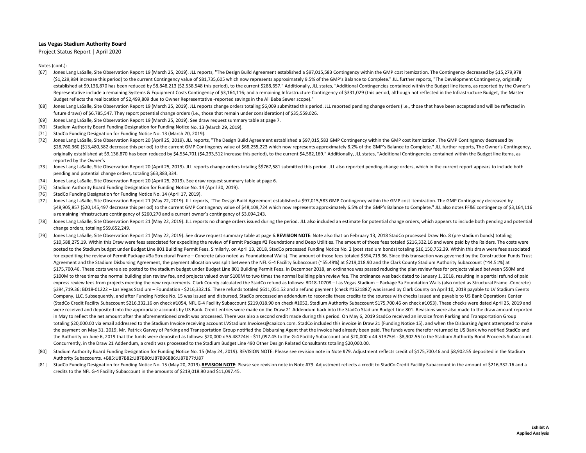Project Status Report | April 2020

- [67] Jones Lang LaSalle, Site Observation Report 19 (March 25, 2019). JLL reports, "The Design Build Agreement established <sup>a</sup> \$97,015,583 Contingency within the GMP cost itemization. The Contingency decreased by \$15,279,978 (\$1,229,984 increase this period) to the current Contingency value of \$81,735,605 which now represents approximately 9.5% of the GMP's Balance to Complete." JLL further reports, "The Development Contingency, originally established at \$9,136,870 has been reduced by \$8,848,213 (\$2,558,548 this period), to the current \$288,657." Additionally, JLL states, "Additional Contingencies contained within the Budget line items, as reported by the Ow Representative include a remaining Systems & Equipment Costs Contingency of \$3,164,116; and a remaining Infrastructure Contingency of \$331,029 (this period, although not reflected in the Infrastructure Budget, the Master Budget reflects the reallocation of \$2,499,809 due to Owner Representative -reported savings in the Ali Baba Sewer scope)."
- [68] Jones Lang LaSalle, Site Observation Report 19 (March 25, 2019). JLL reports change orders totaling \$6,009 submitted this period. JLL reported pending change orders (i.e., those that have been accepted and will be ref future draws) of \$6,785,547. They report potential change orders (i.e., those that remain under consideration) of \$35,559,026.
- [69] Jones Lang LaSalle, Site Observation Report 19 (March 25, 2019). See draw request summary table at page 7.
- [70] Stadium Authority Board Funding Designation for Funding Notice No. 13 (March 29, 2019).
- [71] StadCo Funding Designation for Funding Notice No. 13 (March 20, 2019).
- [72] Jones Lang LaSalle, Site Observation Report 20 (April 25, 2019). JLL reports, "The Design Build Agreement established <sup>a</sup> \$97,015,583 GMP Contingency within the GMP cost itemization. The GMP Contingency decreased by \$28,760,360 (\$13,480,382 decrease this period) to the current GMP Contingency value of \$68,255,223 which now represents approximately 8.2% of the GMP's Balance to Complete." JLL further reports, The Owner's Contingency, originally established at \$9,136,870 has been reduced by \$4,554,701 (\$4,293,512 increase this period), to the current \$4,582,169." Additionally, JLL states, "Additional Contingencies contained within the Budget line items, reported by the Owner's
- [73] Jones Lang LaSalle, Site Observation Report 20 (April 25, 2019). JLL reports change orders totaling \$\$767,581 submitted this period. JLL also reported pending change orders, which in the current report appears to incl pending and potential change orders, totaling \$63,883,334.
- [74] Jones Lang LaSalle, Site Observation Report 20 (April 25, 2019). See draw request summary table at page 6.
- [75] Stadium Authority Board Funding Designation for Funding Notice No. 14 (April 30, 2019).
- [76] StadCo Funding Designation for Funding Notice No. 14 (April 17, 2019).
- [77] Jones Lang LaSalle, Site Observation Report <sup>21</sup> (May 22, 2019). JLL reports, "The Design Build Agreement established <sup>a</sup> \$97,015,583 GMP Contingency within the GMP cost itemization. The GMP Contingency decreased by \$48,905,857 (\$20,145,497 decrease this period) to the current GMP Contingency value of \$48,109,724 which now represents approximately 6.5% of the GMP's Balance to Complete." JLL also notes FF&E contingency of \$3,164,116 a remaining infrastructure contingency of \$260,270 and <sup>a</sup> current owner's contingency of \$3,094,243.
- [78] Jones Lang LaSalle, Site Observation Report 21 (May 22, 2019). JLL reports no change orders issued during the period. JLL also included an estimate for potential change orders, which appears to include both pending an change orders, totaling \$59,652,249.
- [79] Jones Lang LaSalle, Site Observation Report 21 (May 22, 2019). See draw request summary table at page 6.REVISION NOTE: Note also that on February 13, 2018 StadCo processed Draw No. 8 (pre stadium bonds) totaling \$10,588,275.19. Within this Draw were fees associated for expediting the review of Permit Package #2 Foundations and Deep Utilities. The amount of those fees totaled \$216,332.16 and were paid by the Raiders. The costs were posted to the Stadium budget under Budget Line 801 Building Permit Fees. Similarly, on April 13, 2018, StadCo processed Funding Notice No. 2 (post stadium bonds) totaling \$16,150,752.39. Within this draw were fees associat for expediting the review of Permit Package #3a Structural Frame – Concrete (also noted as Foundational Walls). The amount of those fees totaled \$394,719.36. Since this transaction was governed by the Construction Funds Tr Agreement and the Stadium Disbursing Agreement, the payment allocation was split between the NFL G-4 Facility Subaccount (~55.49%) at \$219,018.90 and the Clark County Stadium Authority Subaccount (~44.51%) at \$175,700.46. These costs were also posted to the stadium budget under Budget Line 801 Building Permit Fees. In December 2018, an ordinance was passed reducing the plan review fees for projects valued between \$50M and \$100M to three times the normal building plan review fee, and projects valued over \$100M to two times the normal building plan review fee. The ordinance was back dated to January 1, 2018, resulting in a partial refund of p express review fees from projects meeting the new requirements. Clark County calculated the StadCo refund as follows: BD18-10708 - Las Vegas Stadium - Package 3a Foundation Walls (also noted as Structural Frame -Concrete) \$394,719.36; BD18‐01222 – Las Vegas Stadium – Foundation ‐ \$216,332.16. These refunds totaled \$611,051.52 and <sup>a</sup> refund payment (check #1621882) was issued by Clark County on April 10, 2019 payable to LV Stadium Events Company, LLC. Subsequently, and after Funding Notice No. 15 was issued and disbursed, StadCo processed an addendum to reconcile these credits to the sources with checks issued and payable to US Bank Operations Center (StadCo Credit Facility Subaccount \$216,332.16 on check #1054, NFL G‐<sup>4</sup> Facility Subaccount \$219,018.90 on check #1052, Stadium Authority Subaccount \$175,700.46 on check #1053). These checks were dated April 25, 2019 and were received and deposited into the appropriate accounts by US Bank. Credit entries were made on the Draw 21 Addendum back into the StadCo Stadium Budget Line 801. Revisions were also made to the draw amount reported in May to reflect the net amount after the aforementioned credit was processed. There was also a second credit made during this period. On May 6, 2019 StadCo received an invoice from Parking and Transportation Group totaling \$20,000.00 via email addressed to the Stadium Invoice receiving account LVStadium.Invoices@caaicon.com. StadCo included this invoice in Draw <sup>21</sup> (Funding Notice 15), and when the Disbursing Agent attempted to make the payment on May 31, 2019, Mr. Patrick Garvey of Parking and Transportation Group notified the Disbursing Agent that the invoice had already been paid. The funds were therefor returned to US Bank who notified StadCo and the Authority on June 6, 2019 that the funds were deposited as follows: \$20,000 <sup>x</sup> 55.48724% ‐ \$11,097.45 to the G‐<sup>4</sup> Facility Subaccount and \$20,000 <sup>x</sup> 44.51375% ‐ \$8,902.55 to the Stadium Authority Bond Proceeds Subaccount. Concurrently, in the Draw <sup>21</sup> Addendum, <sup>a</sup> credit was processed to the Stadium Budget Line 490 Other Design Related Consultants totaling \$20,000.00.
- [80] Stadium Authority Board Funding Designation for Funding Notice No. 15 (May 24, 2019). REVISION NOTE: Please see revision note in Note #79. Adjustment reflects credit of \$175,700.46 and \$8,902.55 deposited in the Stadi Authority Subaccounts. +B85:U87B82:U87B80:U87B96B86:U87B77:U87
- [81] StadCo Funding Designation for Funding Notice No. 15 (May 20, 2019). REVISION NOTE: Please see revision note in Note #79. Adjustment reflects a credit to StadCo Credit Facility Subaccount in the amount of \$216,332.16 and a credits to the NFL G‐<sup>4</sup> Facility Subaccount in the amounts of \$219,018.90 and \$11,097.45.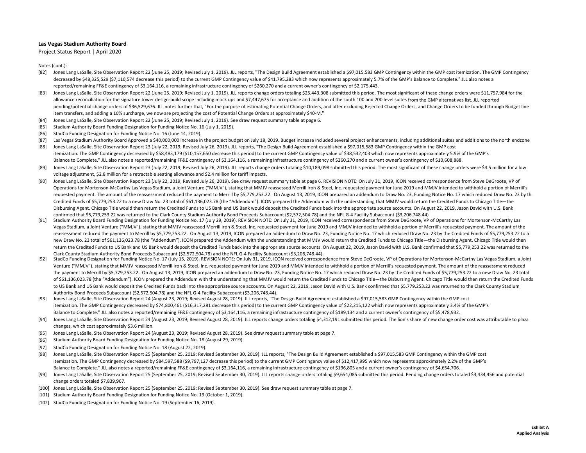Project Status Report | April 2020

- [82] Jones Lang LaSalle, Site Observation Report 22 (June 25, 2019; Revised July 1, 2019). JLL reports, "The Design Build Agreement established a \$97,015,583 GMP Contingency within the GMP cost itemization. The GMP Conting decreased by \$48,325,529 (\$7,110,574 decrease this period) to the current GMP Contingency value of \$41,795,283 which now represents approximately 5.7% of the GMP's Balance to Complete." JLL also notes a reported/remaining FF&E contingency of \$3,164,116, <sup>a</sup> remaining infrastructure contingency of \$260,270 and <sup>a</sup> current owner's contingency of \$2,175,443.
- [83] Jones Lang LaSalle, Site Observation Report 22 (June 25, 2019; Revised July 1, 2019). JLL reports change orders totaling \$25,443,308 submitted this period. The most significant of these change orders were \$11,757,984 for t allowance reconciliation for the signature tower design‐build scope including mock ups and \$7,447,675 for acceptance and addition of the south 100 and 200 level suites from the GMP alternatives list. JLL reported pending/potential change orders of \$36,529,676. JLL notes further that, "For the purpose of estimating Potential Change Orders, and after excluding Rejected Change Orders, and Change Orders to be funded through Budget line item transfers, and adding <sup>a</sup> 10% surcharge, we now are projecting the cost of Potential Change Orders at approximately \$40‐M."
- [84] Jones Lang LaSalle, Site Observation Report 22 (June 25, 2019; Revised July 1, 2019). See draw request summary table at page 6.
- [85] Stadium Authority Board Funding Designation for Funding Notice No. 16 (July 1, 2019).
- [86] StadCo Funding Designation for Funding Notice No. 16 (June 14, 2019).
- [87] Las Vegas Stadium Authority Board Approved a \$40,000,000 increase in the project budget on July 18, 2019. Budget increase included several project enhancements, including additional suites and additions to the north e
- [88] Jones Lang LaSalle, Site Observation Report 23 (July 22, 2019; Revised July 26, 2019). JLL reports, "The Design Build Agreement established <sup>a</sup> \$97,015,583 GMP Contingency within the GMP cost itemization. The GMP Contingency decreased by \$58,483,179 (\$10,157,650 decrease this period) to the current GMP Contingency value of \$38,532,403 which now represents approximately 5.9% of the GMP's Balance to Complete." JLL also notes <sup>a</sup> reported/remaining FF&E contingency of \$3,164,116, <sup>a</sup> remaining infrastructure contingency of \$260,270 and <sup>a</sup> current owner's contingency of \$10,608,888.
- [89] Jones Lang LaSalle, Site Observation Report 23 (July 22, 2019; Revised July 26, 2019). JLL reports change orders totaling \$10,189,098 submitted this period. The most significant of these change orders were \$4.5 millio voltage adjustment, \$2.8 million for <sup>a</sup> retractable seating allowance and \$2.4 million for tariff impacts.
- [90] Jones Lang LaSalle, Site Observation Report 23 (July 22, 2019; Revised July 26, 2019). See draw request summary table at page 6. REVISION NOTE: On July 31, 2019, ICON received correspondence from Steve DeGroote, VP of Operations for Mortenson-McCarthy Las Vegas Stadium, a Joint Venture ("MMJV"), stating that MMJV reassessed Merrill Iron & Steel, Inc. requested payment for June 2019 and MMJV intended to withhold a portion of Merrill's requested payment. The amount of the reassessment reduced the payment to Merrill by \$5,779,253.22. On August 13, 2019, ICON prepared an addendum to Draw No. 23, Funding Notice No. 17 which reduced Draw No. 23 by the Credited Funds of \$5,779,253.22 to <sup>a</sup> new Draw No. 23 total of \$61,136,023.78 (the "Addendum"). ICON prepared the Addendum with the understanding that MMJV would return the Credited Funds to Chicago Title—the Disbursing Agent. Chicago Title would then return the Credited Funds to US Bank and US Bank would deposit the Credited Funds back into the appropriate source accounts. On August 22, 2019, Jason David with U.S. Bank confirmed that \$5,779,253.22 was returned to the Clark County Stadium Authority Bond Proceeds Subaccount (\$2,572,504.78) and the NFL G‐<sup>4</sup> Facility Subaccount (\$3,206,748.44)
- [91] Stadium Authority Board Funding Designation for Funding Notice No. 17 (July 29, 2019). REVISION NOTE: On July 31, 2019, ICON received correspondence from Steve DeGroote, VP of Operations for Mortenson‐McCarthy Las Vegas Stadium, a Joint Venture ("MMJV"), stating that MMJV reassessed Merrill Iron & Steel, Inc. requested payment for June 2019 and MMJV intended to withhold a portion of Merrill's requested payment. The amount of the reassessment reduced the payment to Merrill by \$5,779,253.22. On August 13, 2019, ICON prepared an addendum to Draw No. 23, Funding Notice No. 17 which reduced Draw No. 23 by the Credited Funds of \$5,779,253.22 to a new Draw No. 23 total of \$61,136,023.78 (the "Addendum"). ICON prepared the Addendum with the understanding that MMJV would return the Credited Funds to Chicago Title—the Disbursing Agent. Chicago Title would then return the Credited Funds to US Bank and US Bank would deposit the Credited Funds back into the appropriate source accounts. On August 22, 2019, Jason David with U.S. Bank confirmed that \$5,779,253.22 was returned to the Clark County Stadium Authority Bond Proceeds Subaccount (\$2,572,504.78) and the NFL G‐<sup>4</sup> Facility Subaccount (\$3,206,748.44).
- [92] StadCo Funding Designation for Funding Notice No. 17 (July 15, 2019). REVISION NOTE: On July 31, 2019, ICON received correspondence from Steve DeGroote, VP of Operations for Mortenson‐McCarthy Las Vegas Stadium, <sup>a</sup> Joint Venture ("MMJV"), stating that MMJV reassessed Merrill Iron & Steel, Inc. requested payment for June 2019 and MMJV intended to withhold <sup>a</sup> portion of Merrill's requested payment. The amount of the reassessment reduced the payment to Merrill by \$5,779,253.22. On August 13, 2019, ICON prepared an addendum to Draw No. 23, Funding Notice No. 17 which reduced Draw No. 23 by the Credited Funds of \$5,779,253.22 to a new Draw No. 23 total of \$61,136,023.78 (the "Addendum"). ICON prepared the Addendum with the understanding that MMJV would return the Credited Funds to Chicago Title—the Disbursing Agent. Chicago Title would then return the Credited Funds to US Bank and US Bank would deposit the Credited Funds back into the appropriate source accounts. On August 22, 2019, Jason David with U.S. Bank confirmed that \$5,779,253.22 was returned to the Clark County Stadium Authority Bond Proceeds Subaccount (\$2,572,504.78) and the NFL G‐<sup>4</sup> Facility Subaccount (\$3,206,748.44).
- [93] Jones Lang LaSalle, Site Observation Report 24 (August 23, 2019; Revised August 28, 2019). JLL reports, "The Design Build Agreement established a \$97,015,583 GMP Contingency within the GMP cost itemization. The GMP Contingency decreased by \$74,800,461 (\$16,317,281 decrease this period) to the current GMP Contingency value of \$22,215,122 which now represents approximately 3.4% of the GMP's Balance to Complete." JLL also notes <sup>a</sup> reported/remaining FF&E contingency of \$3,164,116, <sup>a</sup> remaining infrastructure contingency of \$189,134 and <sup>a</sup> current owner's contingency of \$5,478,932.
- [94] Jones Lang LaSalle, Site Observation Report 24 (August 23, 2019; Revised August 28, 2019). JLL reports change orders totaling \$4,312,191 submitted this period. The lion's share of new change order cost was attributabl changes, which cost approximately \$3.6 million.
- [95] Jones Lang LaSalle, Site Observation Report 24 (August 23, 2019; Revised August 28, 2019). See draw request summary table at page 7.
- [96] Stadium Authority Board Funding Designation for Funding Notice No. 18 (August 29, 2019).
- [97] StadCo Funding Designation for Funding Notice No. 18 (August 22, 2019).
- [98] Jones Lang LaSalle, Site Observation Report 25 (September 25, 2019; Revised September 30, 2019). JLL reports, "The Design Build Agreement established <sup>a</sup> \$97,015,583 GMP Contingency within the GMP cost itemization. The GMP Contingency decreased by \$84,597,588 (\$9,797,127 decrease this period) to the current GMP Contingency value of \$12,417,995 which now represents approximately 2.2% of the GMP's Balance to Complete." JLL also notes <sup>a</sup> reported/remaining FF&E contingency of \$3,164,116, <sup>a</sup> remaining infrastructure contingency of \$196,805 and <sup>a</sup> current owner's contingency of \$4,654,706.
- [99] Jones Lang LaSalle, Site Observation Report 25 (September 25, 2019; Revised September 30, 2019). JLL reports change orders totaling \$9,654,085 submitted this period. Pending change orders totaled \$3,434,456 and potent change orders totaled \$7,839,967.
- [100] Jones Lang LaSalle, Site Observation Report 25 (September 25, 2019; Revised September 30, 2019). See draw request summary table at page 7.
- [101] Stadium Authority Board Funding Designation for Funding Notice No. 19 (October 1, 2019).
- [102] StadCo Funding Designation for Funding Notice No. 19 (September 16, 2019).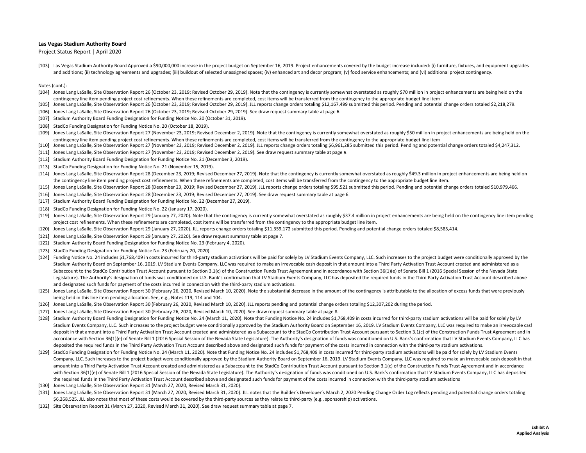Project Status Report | April 2020

[103] Las Vegas Stadium Authority Board Approved a \$90,000,000 increase in the project budget on September 16, 2019. Project enhancements covered by the budget increase included: (i) furniture, fixtures, and equipment upgr and additions; (ii) technology agreements and upgrades; (iii) buildout of selected unassigned spaces; (iv) enhanced art and decor program; (v) food service enhancements; and (vi) additional project contingency.

- [104] Jones Lang LaSalle, Site Observation Report 26 (October 23, 2019; Revised October 29, 2019). Note that the contingency is currently somewhat overstated as roughly \$70 million in project enhancements are being held on contingency line item pending project cost refinements. When these refinements are completed, cost items will be transferred from the contingency to the appropriate budget line item
- [105] Jones Lang LaSalle, Site Observation Report 26 (October 23, 2019; Revised October 29, 2019). JLL reports change orders totaling \$12,167,499 submitted this period. Pending and potential change orders totaled \$2,218,279.
- [106] Jones Lang LaSalle, Site Observation Report 26 (October 23, 2019; Revised October 29, 2019). See draw request summary table at page 6.
- [107] Stadium Authority Board Funding Designation for Funding Notice No. 20 (October 31, 2019).
- [108] StadCo Funding Designation for Funding Notice No. 20 (October 18, 2019).
- [109] Jones Lang LaSalle, Site Observation Report 27 (November 23, 2019; Revised December 2, 2019). Note that the contingency is currently somewhat overstated as roughly \$50 million in project enhancements are being held o contingency line item pending project cost refinements. When these refinements are completed, cost items will be transferred from the contingency to the appropriate budget line item
- [110] Jones Lang LaSalle, Site Observation Report 27 (November 23, 2019; Revised December 2, 2019). JLL reports change orders totaling \$6,961,285 submitted this period. Pending and potential change orders totaled \$4,247,31
- [111] Jones Lang LaSalle, Site Observation Report 27 (November 23, 2019; Revised December 2, 2019). See draw request summary table at page 6.
- [112] Stadium Authority Board Funding Designation for Funding Notice No. 21 (December 3, 2019).
- [113] StadCo Funding Designation for Funding Notice No. 21 (November 15, 2019).
- [114] Jones Lang LaSalle, Site Observation Report 28 (December 23, 2019; Revised December 27, 2019). Note that the contingency is currently somewhat overstated as roughly \$49.3 million in project enhancements are being hel the contingency line item pending project cost refinements. When these refinements are completed, cost items will be transferred from the contingency to the appropriate budget line item.
- [115] Jones Lang LaSalle, Site Observation Report 28 (December 23, 2019; Revised December 27, 2019). JLL reports change orders totaling \$95,521 submitted this period. Pending and potential change orders totaled \$10,979,466
- [116] Jones Lang LaSalle, Site Observation Report 28 (December 23, 2019; Revised December 27, 2019). See draw request summary table at page 6.
- [117] Stadium Authority Board Funding Designation for Funding Notice No. 22 (December 27, 2019).
- [118] StadCo Funding Designation for Funding Notice No. 22 (January 17, 2020).
- [119] Jones Lang LaSalle, Site Observation Report 29 (January 27, 2020). Note that the contingency is currently somewhat overstated as roughly \$37.4 million in project enhancements are being held on the contingency line it project cost refinements. When these refinements are completed, cost items will be transferred from the contingency to the appropriate budget line item.
- [120] Jones Lang LaSalle, Site Observation Report 29 (January 27, 2020). JLL reports change orders totaling \$11,359,172 submitted this period. Pending and potential change orders totaled \$8,585,414.
- [121] Jones Lang LaSalle, Site Observation Report 29 (January 27, 2020). See draw request summary table at page 7.
- [122] Stadium Authority Board Funding Designation for Funding Notice No. 23 (February 4, 2020).
- [123] StadCo Funding Designation for Funding Notice No. 23 (February 20, 2020).
- [124] Funding Notice No. 24 includes \$1,768,409 in costs incurred for third-party stadium activations will be paid for solely by LV Stadium Events Company, LLC. Such increases to the project budget were conditionally appro Stadium Authority Board on September 16, 2019. LV Stadium Events Company, LLC was required to make an irrevocable cash deposit in that amount into <sup>a</sup> Third Party Activation Trust Account created and administered as <sup>a</sup> Subaccount to the StadCo Contribution Trust Account pursuant to Section 3.1(c) of the Construction Funds Trust Agreement and in accordance with Section 36(1)(e) of Senate Bill 1 (2016 Special Session of the Nevada State Legislature). The Authority's designation of funds was conditioned on U.S. Bank's confirmation that LV Stadium Events Company, LLC has deposited the required funds in the Third Party Activation Trust Account described abov and designated such funds for payment of the costs incurred in connection with the third‐party stadium activations.
- [125] Jones Lang LaSalle, Site Observation Report 30 (February 26, 2020, Revised March 10, 2020). Note the substantial decrease in the amount of the contingency is attributable to the allocation of excess funds that were p being held in this line item pending allocation. See, e.g., Notes 119, 114 and 104.
- [126] Jones Lang LaSalle, Site Observation Report 30 (February 26, 2020, Revised March 10, 2020). JLL reports pending and potential change orders totaling \$12,307,202 during the period.
- [127] Jones Lang LaSalle, Site Observation Report 30 (February 26, 2020, Revised March 10, 2020). See draw request summary table at page 8.
- [128] Stadium Authority Board Funding Designation for Funding Notice No. 24 (March 11, 2020). Note that Funding Notice No. 24 includes \$1,768,409 in costs incurred for third-party stadium activations will be paid for solel Stadium Events Company, LLC. Such increases to the project budget were conditionally approved by the Stadium Authority Board on September 16, 2019. LV Stadium Events Company, LLC was required to make an irrevocable cash deposit in that amount into a Third Party Activation Trust Account created and administered as a Subaccount to the StadCo Contribution Trust Account pursuant to Section 3.1(c) of the Construction Funds Trust Agreement and accordance with Section 36(1)(e) of Senate Bill 1 (2016 Special Session of the Nevada State Legislature). The Authority's designation of funds was conditioned on U.S. Bank's confirmation that LV Stadium Events Company, LLC deposited the required funds in the Third Party Activation Trust Account described above and designated such funds for payment of the costs incurred in connection with the third‐party stadium activations.
- [129] StadCo Funding Designation for Funding Notice No. 24 (March 11, 2020). Note that Funding Notice No. 24 includes \$1,768,409 in costs incurred for third-party stadium activations will be paid for solely by LV Stadium E Company, LLC. Such increases to the project budget were conditionally approved by the Stadium Authority Board on September 16, 2019. LV Stadium Events Company, LLC was required to make an irrevocable cash deposit in that amount into a Third Party Activation Trust Account created and administered as a Subaccount to the StadCo Contribution Trust Account pursuant to Section 3.1(c) of the Construction Funds Trust Agreement and in accordance with Section 36(1)(e) of Senate Bill 1 (2016 Special Session of the Nevada State Legislature). The Authority's designation of funds was conditioned on U.S. Bank's confirmation that LV Stadium Events Company, LLC has deposi the required funds in the Third Party Activation Trust Account described above and designated such funds for payment of the costs incurred in connection with the third‐party stadium activations
- [130] Jones Lang LaSalle, Site Observation Report 31 (March 27, 2020, Revised March 31, 2020).
- [131] Jones Lang LaSalle, Site Observation Report 31 (March 27, 2020, Revised March 31, 2020). JLL notes that the Builder's Developer's March 2, 2020 Pending Change Order Log reflects pending and potential change orders to \$6,268,525. JLL also notes that most of these costs would be covered by the third-party sources as they relate to third-party (e.g., sponsorship) activations.
- [132] Site Observation Report 31 (March 27, 2020, Revised March 31, 2020). See draw request summary table at page 7.